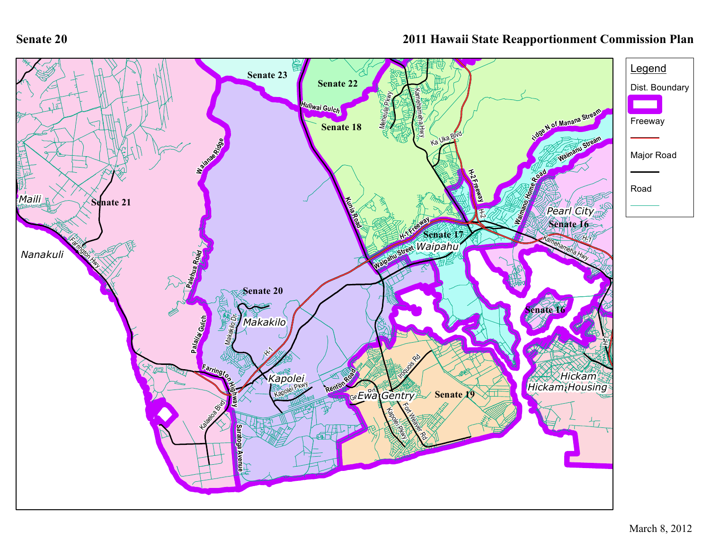**Senate 20**

## **2011 Hawaii State Reapportionment Commission Plan**

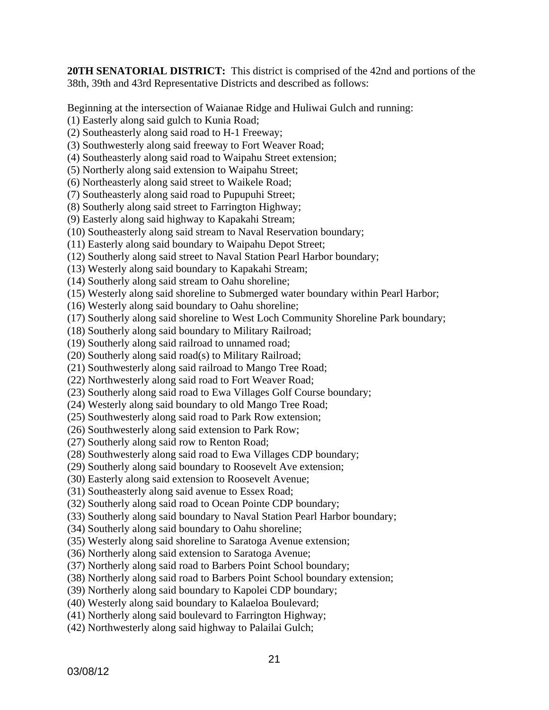**20TH SENATORIAL DISTRICT:** This district is comprised of the 42nd and portions of the 38th, 39th and 43rd Representative Districts and described as follows:

Beginning at the intersection of Waianae Ridge and Huliwai Gulch and running:

(1) Easterly along said gulch to Kunia Road;

(2) Southeasterly along said road to H-1 Freeway;

- (3) Southwesterly along said freeway to Fort Weaver Road;
- (4) Southeasterly along said road to Waipahu Street extension;
- (5) Northerly along said extension to Waipahu Street;
- (6) Northeasterly along said street to Waikele Road;
- (7) Southeasterly along said road to Pupupuhi Street;
- (8) Southerly along said street to Farrington Highway;
- (9) Easterly along said highway to Kapakahi Stream;
- (10) Southeasterly along said stream to Naval Reservation boundary;

(11) Easterly along said boundary to Waipahu Depot Street;

- (12) Southerly along said street to Naval Station Pearl Harbor boundary;
- (13) Westerly along said boundary to Kapakahi Stream;
- (14) Southerly along said stream to Oahu shoreline;
- (15) Westerly along said shoreline to Submerged water boundary within Pearl Harbor;
- (16) Westerly along said boundary to Oahu shoreline;
- (17) Southerly along said shoreline to West Loch Community Shoreline Park boundary;
- (18) Southerly along said boundary to Military Railroad;
- (19) Southerly along said railroad to unnamed road;
- (20) Southerly along said road(s) to Military Railroad;
- (21) Southwesterly along said railroad to Mango Tree Road;
- (22) Northwesterly along said road to Fort Weaver Road;
- (23) Southerly along said road to Ewa Villages Golf Course boundary;
- (24) Westerly along said boundary to old Mango Tree Road;
- (25) Southwesterly along said road to Park Row extension;
- (26) Southwesterly along said extension to Park Row;
- (27) Southerly along said row to Renton Road;
- (28) Southwesterly along said road to Ewa Villages CDP boundary;
- (29) Southerly along said boundary to Roosevelt Ave extension;
- (30) Easterly along said extension to Roosevelt Avenue;
- (31) Southeasterly along said avenue to Essex Road;
- (32) Southerly along said road to Ocean Pointe CDP boundary;
- (33) Southerly along said boundary to Naval Station Pearl Harbor boundary;
- (34) Southerly along said boundary to Oahu shoreline;
- (35) Westerly along said shoreline to Saratoga Avenue extension;
- (36) Northerly along said extension to Saratoga Avenue;
- (37) Northerly along said road to Barbers Point School boundary;
- (38) Northerly along said road to Barbers Point School boundary extension;
- (39) Northerly along said boundary to Kapolei CDP boundary;
- (40) Westerly along said boundary to Kalaeloa Boulevard;
- (41) Northerly along said boulevard to Farrington Highway;
- (42) Northwesterly along said highway to Palailai Gulch;